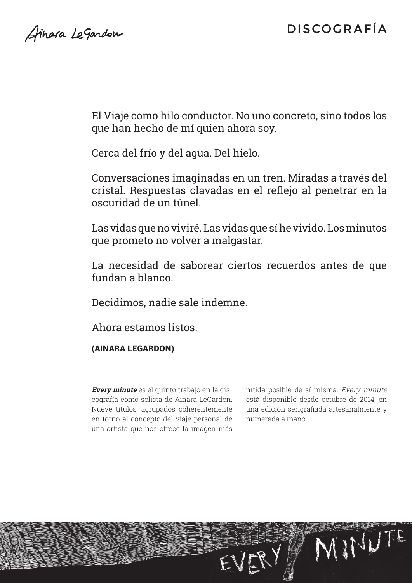Stinara LeGardon

El Viaje como hilo conductor. No uno concreto, sino todos los que han hecho de mí quien ahora soy.

Cerca del frío y del agua. Del hielo.

Conversaciones imaginadas en un tren. Miradas a través del cristal. Respuestas clavadas en el reflejo al penetrar en la oscuridad de un túnel.

Las vidas que no viviré. Las vidas que sí he vivido. Los minutos que prometo no volver a malgastar.

La necesidad de saborear ciertos recuerdos antes de que fundan a blanco.

Decidimos, nadie sale indemne.

Ahora estamos listos.

(Ainara LeGardon)

**Every minute** es el quinto trabajo en la discografía como solista de Ainara LeGardon. Nueve títulos, agrupados coherentemente en torno al concepto del viaje personal de una artista que nos ofrece la imagen más

nítida posible de sí misma. Every minute está disponible desde octubre de 2014, en una edición serigrafiada artesanalmente y numerada a mano.

NINUTE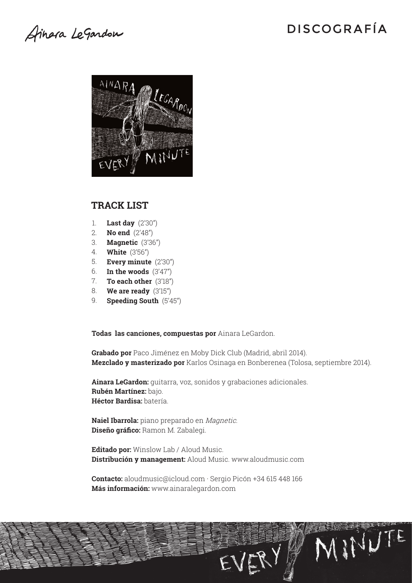Ainera LeGardon

NINUTE



#### **Track list**

- **Last day** (2'30") 1.
- **No end** (2'48") 2.
- **Magnetic** (3'36") 3.
- **White** (3'56") 4.
- **Every minute** (2'30") 5.
- **In the woods** (3'47") 6.
- **To each other** (3'18") 7.
- **We are ready** (3'15") 8.
- **Speeding South** (5'45") 9.

**Todas las canciones, compuestas por** Ainara LeGardon.

**Grabado por** Paco Jiménez en Moby Dick Club (Madrid, abril 2014). **Mezclado y masterizado por** Karlos Osinaga en Bonberenea (Tolosa, septiembre 2014).

EVERY

**Ainara LeGardon:** guitarra, voz, sonidos y grabaciones adicionales. **Rubén Martínez:** bajo. **Héctor Bardisa:** batería.

**Naiel Ibarrola:** piano preparado en Magnetic. **Diseño gráfico:** Ramon M. Zabalegi.

**Editado por:** Winslow Lab / Aloud Music. **Distribución y management:** Aloud Music. www.aloudmusic.com

**Contacto:** aloudmusic@icloud.com · Sergio Picón +34 615 448 166 **Más información:** www.ainaralegardon.com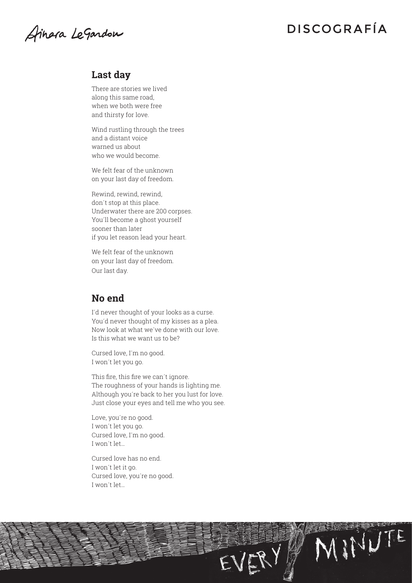Ainera LeGardon

EVERY NINUTE

### **Last day**

There are stories we lived along this same road, when we both were free and thirsty for love.

Wind rustling through the trees and a distant voice warned us about who we would become.

We felt fear of the unknown on your last day of freedom.

Rewind, rewind, rewind, don´t stop at this place. Underwater there are 200 corpses. You´ll become a ghost yourself sooner than later if you let reason lead your heart.

We felt fear of the unknown on your last day of freedom. Our last day.

### **No end**

I´d never thought of your looks as a curse. You´d never thought of my kisses as a plea. Now look at what we´ve done with our love. Is this what we want us to be?

Cursed love, I´m no good. I won´t let you go.

This fire, this fire we can't ignore. The roughness of your hands is lighting me. Although you´re back to her you lust for love. Just close your eyes and tell me who you see.

Love, you´re no good. I won´t let you go. Cursed love, I´m no good. I won´t let…

Cursed love has no end. I won´t let it go. Cursed love, you´re no good. I won´t let…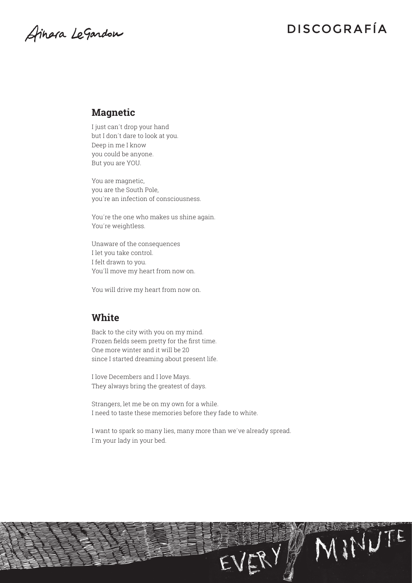Ainera LeGardon

EVERY MINUTE

### **Magnetic**

I just can´t drop your hand but I don´t dare to look at you. Deep in me I know you could be anyone. But you are YOU.

You are magnetic, you are the South Pole, you´re an infection of consciousness.

You´re the one who makes us shine again. You´re weightless.

Unaware of the consequences I let you take control. I felt drawn to you. You´ll move my heart from now on.

You will drive my heart from now on.

### **White**

Back to the city with you on my mind. Frozen fields seem pretty for the first time. One more winter and it will be 20 since I started dreaming about present life.

I love Decembers and I love Mays. They always bring the greatest of days.

Strangers, let me be on my own for a while. I need to taste these memories before they fade to white.

I want to spark so many lies, many more than we´ve already spread. I´m your lady in your bed.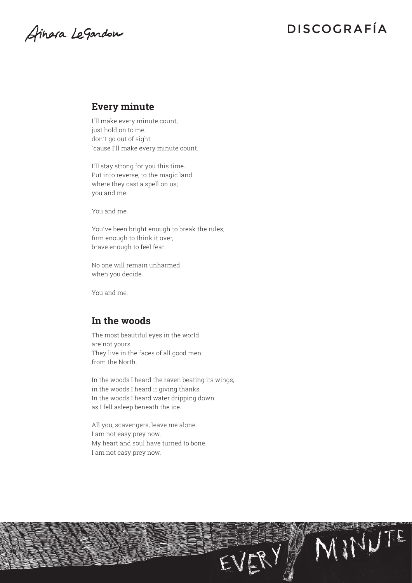Ainera LeGardon

EVERY MINUTE

### **Every minute**

I´ll make every minute count, just hold on to me, don´t go out of sight ´cause I´ll make every minute count.

I´ll stay strong for you this time. Put into reverse, to the magic land where they cast a spell on us; you and me.

You and me.

You´ve been bright enough to break the rules, firm enough to think it over, brave enough to feel fear.

No one will remain unharmed when you decide.

You and me.

### **In the woods**

The most beautiful eyes in the world are not yours. They live in the faces of all good men from the North.

In the woods I heard the raven beating its wings, in the woods I heard it giving thanks. In the woods I heard water dripping down as I fell asleep beneath the ice.

All you, scavengers, leave me alone. I am not easy prey now. My heart and soul have turned to bone. I am not easy prey now.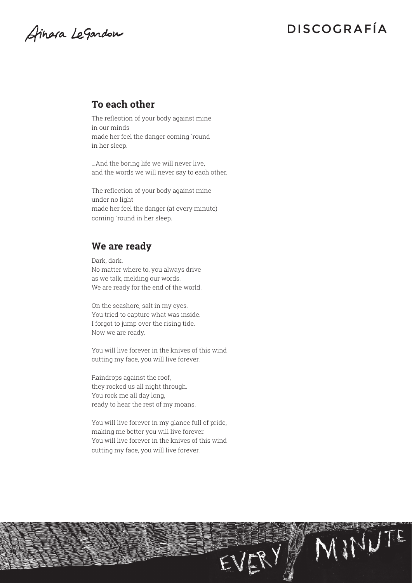Ainera LeGardon

EVERY NINUTE

### **To each other**

The reflection of your body against mine in our minds made her feel the danger coming ´round in her sleep.

…And the boring life we will never live, and the words we will never say to each other.

The reflection of your body against mine under no light made her feel the danger (at every minute) coming ´round in her sleep.

### **We are ready**

Dark, dark. No matter where to, you always drive as we talk, melding our words. We are ready for the end of the world.

On the seashore, salt in my eyes. You tried to capture what was inside. I forgot to jump over the rising tide. Now we are ready.

You will live forever in the knives of this wind cutting my face, you will live forever.

Raindrops against the roof, they rocked us all night through. You rock me all day long, ready to hear the rest of my moans.

You will live forever in my glance full of pride, making me better you will live forever. You will live forever in the knives of this wind cutting my face, you will live forever.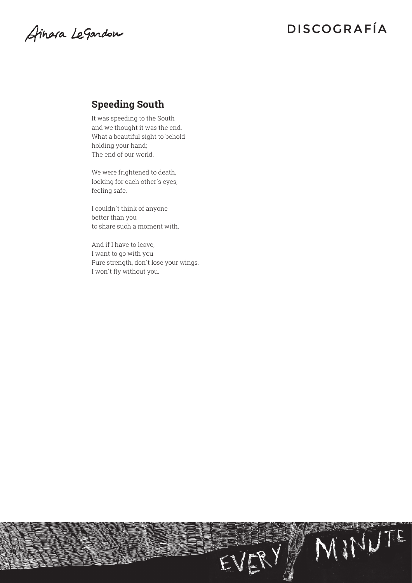Ainera LeGardon

EVERY MINUTE

### **Speeding South**

It was speeding to the South and we thought it was the end. What a beautiful sight to behold holding your hand; The end of our world.

We were frightened to death, looking for each other´s eyes, feeling safe.

I couldn´t think of anyone better than you to share such a moment with.

And if I have to leave, I want to go with you. Pure strength, don´t lose your wings. I won´t fly without you.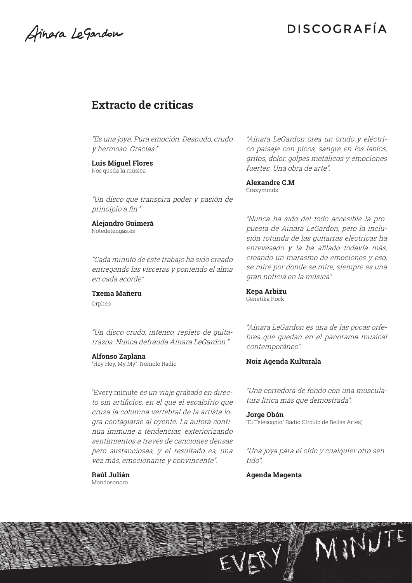Stinara LeGardon

### **Extracto de críticas**

"Es una joya. Pura emoción. Desnudo, crudo y hermoso. Gracias."

#### **Luis Miguel Flores**

Nos queda la música

"Un disco que transpira poder y pasión de principio a fin."

**Alejandro Guimerà** Notedetengas.es

"Cada minuto de este trabajo ha sido creado entregando las vísceras y poniendo el alma en cada acorde".

**Txema Mañeru** Orpheo

"Un disco crudo, intenso, repleto de guitarrazos. Nunca defrauda Ainara LeGardon."

#### **Alfonso Zaplana**

"Hey Hey, My My" Trémolo Radio

"Every minute es un viaje grabado en directo sin artificios, en el que el escalofrío que cruza la columna vertebral de la artista logra contagiarse al oyente. La autora continúa immune a tendencias, exteriorizando sentimientos a través de canciones densas pero sustanciosas, y el resultado es, una vez más, emocionante y convincente".

**Raúl Julián** Mondosonoro

"Ainara LeGardon crea un crudo y eléctrico paisaje con picos, sangre en los labios, gritos, dolor, golpes metálicos y emociones fuertes. Una obra de arte".

**Alexandre C.M** Crazyminds

"Nunca ha sido del todo accesible la propuesta de Ainara LeGardon, pero la inclusión rotunda de las guitarras eléctricas ha enrevesado y la ha afilado todavía más, creando un marasmo de emociones y eso, se mire por donde se mire, siempre es una gran noticia en la música".

**Kepa Arbizu** Genetika Rock

"Ainara LeGardon es una de las pocas orfebres que quedan en el panorama musical contemporáneo".

#### **Noiz Agenda Kulturala**

"Una corredora de fondo con una musculatura lírica más que demostrada".

**Jorge Obón** "El Telescopio" Radio Círculo de Bellas Artes)

"Una joya para el oído y cualquier otro sentido".

MINUTE

**Agenda Magenta**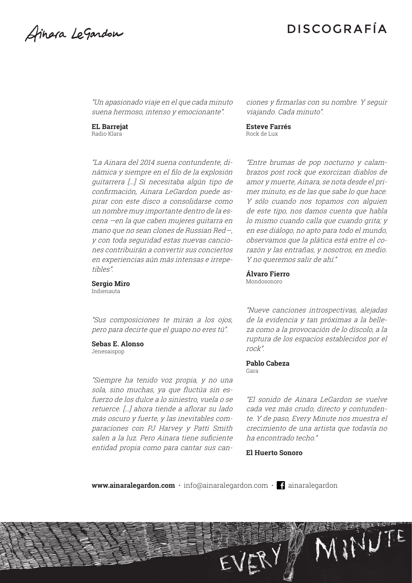Stinara LeGardon

"Un apasionado viaje en el que cada minuto suena hermoso, intenso y emocionante".

**EL Barrejat** Radio Klara

"La Ainara del 2014 suena contundente, dinámica y siempre en el filo de la explosión guitarrera […] Si necesitaba algún tipo de confirmación, Ainara LeGardon puede aspirar con este disco a consolidarse como un nombre muy importante dentro de la escena —en la que caben mujeres guitarra en mano que no sean clones de Russian Red—, y con toda seguridad estas nuevas canciones contribuirán a convertir sus conciertos en experiencias aún más intensas e irrepetibles".

**Sergio Miro** Indienauta

"Sus composiciones te miran a los ojos, pero para decirte que el guapo no eres tú".

### **Sebas E. Alonso**

Jenesaispop

"Siempre ha tenido voz propia, y no una sola, sino muchas, ya que fluctúa sin esfuerzo de los dulce a lo siniestro, vuela o se retuerce. […] ahora tiende a aflorar su lado más oscuro y fuerte, y las inevitables comparaciones con PJ Harvey y Patti Smith salen a la luz. Pero Ainara tiene suficiente entidad propia como para cantar sus canciones y firmarlas con su nombre. Y seguir viajando. Cada minuto".

**Esteve Farrés** Rock de Lux

"Entre brumas de pop nocturno y calambrazos post rock que exorcizan diablos de amor y muerte, Ainara, se nota desde el primer minuto, es de las que sabe lo que hace. Y sólo cuando nos topamos con alguien de este tipo, nos damos cuenta que habla lo mismo cuando calla que cuando grita; y en ese diálogo, no apto para todo el mundo, observamos que la plática está entre el corazón y las entrañas, y nosotros, en medio. Y no queremos salir de ahí."

**Álvaro Fierro**  Mondosonoro

"Nueve canciones introspectivas, alejadas de la evidencia y tan próximas a la belleza como a la provocación de lo díscolo, a la ruptura de los espacios establecidos por el rock".

#### **Pablo Cabeza** Gara

"El sonido de Ainara LeGardon se vuelve cada vez más crudo, directo y contundente. Y de paso, Every Minute nos muestra el crecimiento de una artista que todavía no ha encontrado techo."

MINUTE

**El Huerto Sonoro**

**<www.ainaralegardon.com> ·** [info@ainaralegardon.com](mailto:info%40ainaralegardon.com?subject=) **·** [ainaralegardon](www.facebook.com/ainaralegardon)